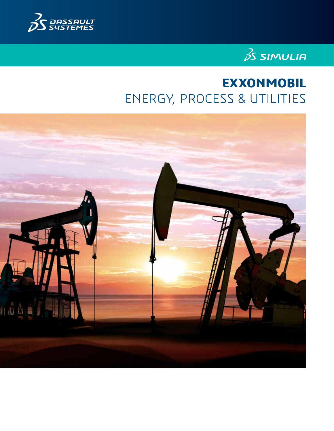



# **EXXONMOBIL** ENERGY, PROCESS & UTILITIES

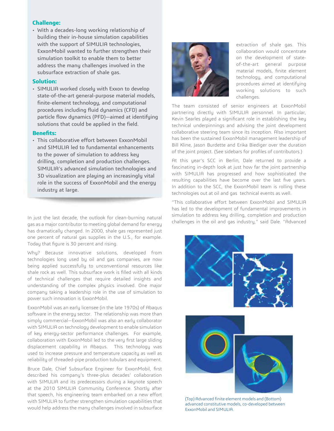### **Challenge:**

• With a decades-long working relationship of building their in-house simulation capabilities with the support of SIMULIA technologies, ExxonMobil wanted to further strengthen their simulation toolkit to enable them to better address the many challenges involved in the subsurface extraction of shale gas.

### **Solution:**

• SIMULIA worked closely with Exxon to develop state-of-the-art general-purpose material models, finite-element technology, and computational procedures including fluid dynamics (CFD) and particle flow dynamics (PFD)—aimed at identifying solutions that could be applied in the field.

### **Benefits:**

• This collaborative effort between ExxonMobil and SIMULIA led to fundamental enhancements to the power of simulation to address key drilling, completion and production challenges. SIMULIA's advanced simulation technologies and 3D visualization are playing an increasingly vital role in the success of ExxonMobil and the energy industry at large.

In just the last decade, the outlook for clean-burning natural gas as a major contributor to meeting global demand for energy has dramatically changed. In 2000, shale gas represented just one percent of natural gas supplies in the U.S., for example. Today that figure is 30 percent and rising.

Why? Because innovative solutions, developed from technologies long used by oil and gas companies, are now being applied successfully to unconventional resources like shale rock as well. This subsurface work is filled with all kinds of technical challenges that require detailed insights and understanding of the complex physics involved. One major company taking a leadership role in the use of simulation to power such innovation is ExxonMobil.

ExxonMobil was an early licensee (in the late 1970s) of Abaqus software in the energy sector. The relationship was more than simply commercial—ExxonMobil was also an early collaborator with SIMULIA on technology development to enable simulation of key energy-sector performance challenges. For example, collaboration with ExxonMobil led to the very first large sliding displacement capability in Abaqus. This technology was used to increase pressure and temperature capacity as well as reliability of threaded-pipe production tubulars and equipment.

Bruce Dale, Chief Subsurface Engineer for ExxonMobil, first described his company's three-plus decades' collaboration with SIMULIA and its predecessors during a keynote speech at the 2010 SIMULIA Community Conference. Shortly after that speech, his engineering team embarked on a new effort with SIMULIA to further strengthen simulation capabilities that would help address the many challenges involved in subsurface



extraction of shale gas. This collaboration would concentrate on the development of stateof-the-art general purpose material models, finite element technology, and computational procedures aimed at identifying working solutions to such challenges.

The team consisted of senior engineers at ExxonMobil partnering directly with SIMULIA personnel. In particular, Kevin Searles played a significant role in establishing the key technical underpinnings and advising the joint development collaborative steering team since its inception. Also important has been the sustained ExxonMobil management leadership of Bill Kline, Jason Burdette and Erika Biediger over the duration of the joint project. (See sidebars for profiles of contributors.)

At this year's SCC in Berlin, Dale returned to provide a fascinating in-depth look at just how far the joint partnership with SIMULIA has progressed and how sophisticated the resulting capabilities have become over the last five years. In addition to the SCC, the ExxonMobil team is rolling these technologies out at oil and gas technical events as well.

"This collaborative effort between ExxonMobil and SIMULIA has led to the development of fundamental improvements in simulation to address key drilling, completion and production challenges in the oil and gas industry," said Dale. "Advanced



(Top) Advanced finite element models and (Bottom) advanced constitutive models, co-developed between ExxonMobil and SIMULIA.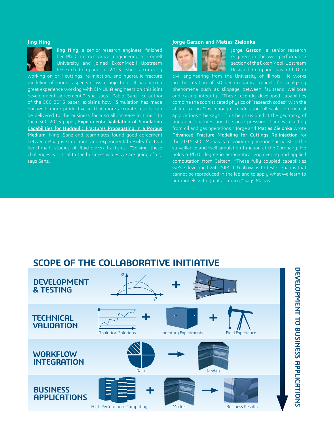#### **Jing Ning**



Jing Ning, a senior research engineer, finished her Ph.D. in mechanical engineering at Cornell University and joined ExxonMobil Upstream Research Company in 2013. She is currently

working on drill cuttings, re-injection, and hydraulic fracture modeling of various aspects of water injection. "It has been a great experience working with SIMULIA engineers on this joint development agreement," she says. Pablo Sanz, co-author of the SCC 2015 paper, explains how "Simulation has made our work more productive in that more accurate results can be delivered to the business for a small increase in time." In their SCC 2015 paper, Experimental Validation of Simulation Capabilities for Hydraulic Fractures Propagating in a Porous Medium, Ning, Sanz and teammates found good agreement between Abaqus simulation and experimental results for two benchmark studies of fluid-driven fractures. "Solving these challenges is critical to the business values we are going after," says Sanz.

### **Jorge Garzon and Matias Zielonka**



Jorge Garzon, a senior research engineer in the well performance section of the ExxonMobil Upstream Research Company, has a Ph.D. in

civil engineering from the University of Illinois. He works on the creation of 3D geomechanical models for analyzing phenomena such as slippage between faultsand wellbore and casing integrity. "These recently developed capabilities combine the sophisticated physics of "research codes" with the ability to run "fast enough" models for full-scale commercial applications," he says. "This helps us predict the geometry of hydraulic fractures and the pore pressure changes resulting from oil and gas operations." Jorge and Matias Zielonka wrote Advanced Fracture Modeling for Cuttings Re-injection for the 2015 SCC. Matias is a senior engineering specialist in the surveillance and well simulation function at the Company. He holds a Ph.D. degree in aeronautical engineering and applied computation from Caltech. "These fully coupled capabilities we've developed with SIMULIA allow us to test scenarios that cannot be reproduced in the lab and to apply what we learn to our models with great accuracy," says Matias.

## **SCOPE OF THE COLLABORATIVE INITIATIVE**

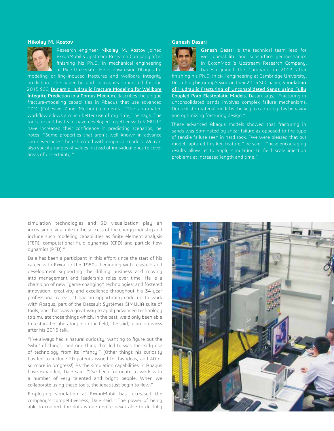### **Nikolay M. Kostov**



Research engineer Nikolay M. Kostov joined ExxonMobil's Upstream Research Company after finishing his Ph.D. in mechanical engineering at Rice University. He is now using Abaqus for

modeling drilling-induced fractures and wellbore integrity prediction. The paper he and colleagues submitted for the 2015 SCC, Dynamic Hydraulic Fracture Modeling for Wellbore Integrity Prediction in a Porous Medium, describes the unique fracture-modeling capabilities in Abaqus that use advanced CZM (Cohesive Zone Method) elements. "The automated workflow allows a much better use of my time," he says. The tools he and his team have developed together with SIMULIA have increased their confidence in predicting scenarios, he notes: "Some properties that aren't well known in advance can nevertheless be estimated with empirical models. We can also specify ranges of values instead of individual ones to cover areas of uncertainty."

### **Ganesh Dasari**



Ganesh Dasari is the technical team lead for well operability and subsurface geomechanics in ExxonMobil's Upstream Research Company. Ganesh joined the Company in 2003 after finishing his Ph.D. in civil engineering at Cambridge University. Describing his group's work in their 2015 SCC paper, **Simulation** of Hydraulic Fracturing of Unconsolidated Sands using Fully Coupled Poro-Elastoplatic Models, Dasari says, "Fracturing in unconsolidated sands involves complex failure mechanisms. Our realistic material model is the key to capturing this behavior and optimizing fracturing design."

These advanced Abaqus models showed that fracturing in sands was dominated by shear failure as opposed to the type of tensile failure seen in hard rock. "We were pleased that our model captured this key feature," he said. "These encouraging results allow us to apply simulation to field scale injection problems at increased length and time."

simulation technologies and 3D visualization play an increasingly vital role in the success of the energy industry and include such modeling capabilities as finite element analysis (FEA), computational fluid dynamics (CFD) and particle flow dynamics (PFD)."

Dale has been a participant in this effort since the start of his career with Exxon in the 1980s, beginning with research and development supporting the drilling business and moving into management and leadership roles over time. He is a champion of new "game changing" technologies; and fostered innovation, creativity and excellence throughout his 34-year professional career. "I had an opportunity early on to work with Abaqus, part of the Dassault Systèmes SIMULIA suite of tools, and that was a great way to apply advanced technology to simulate those things which, in the past, we'd only been able to test in the laboratory or in the field," he said, in an interview after his 2015 talk.

"I've always had a natural curiosity, wanting to figure out the 'why' of things—and one thing that led to was the early use of technology from its infancy." [Other things his curiosity has led to include 20 patents issued for his ideas, and 40 or so more in progress!] As the simulation capabilities in Abaqus have expanded, Dale said, "I've been fortunate to work with a number of very talented and bright people. When we collaborate using these tools, the ideas just begin to flow."

Employing simulation at ExxonMobil has increased the company's competitiveness, Dale said. "The power of being able to connect the dots is one you're never able to do fully

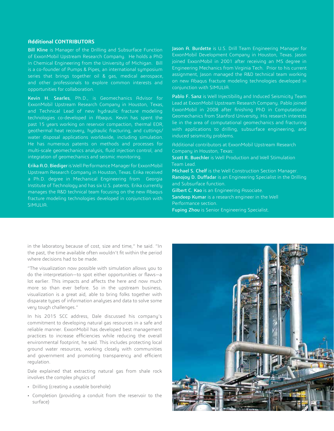### **Additional CONTRIBUTORS**

Bill Kline is Manager of the Drilling and Subsurface Function of ExxonMobil Upstream Research Company. He holds a PhD in Chemical Engineering from the University of Michigan. Bill is a co-founder of Pumps & Pipes, an international symposium series that brings together oil & gas, medical aerospace, and other professionals to explore common interests and opportunities for collaboration.

Kevin H. Searles, Ph.D., is Geomechanics Advisor for ExxonMobil Upstream Research Company in Houston, Texas, and Technical Lead of new hydraulic fracture modeling technologies co-developed in Abaqus. Kevin has spent the past 15 years working on reservoir compaction, thermal EOR, geothermal heat recovery, hydraulic fracturing, and cuttings/ water disposal applications worldwide, including simulation. He has numerous patents on methods and processes for multi-scale geomechanics analysis, fluid injection control, and integration of geomechanics and seismic monitoring.

Erika A.O. Biediger is Well Performance Manager for ExxonMobil Upstream Research Company in Houston, Texas. Erika received a Ph.D. degree in Mechanical Engineering from Georgia Institute of Technology and has six U.S. patents. Erika currently manages the R&D technical team focusing on the new Abaqus fracture modeling technologies developed in conjunction with SIMULIA.

Jason A. Burdette is U.S. Drill Team Engineering Manager for ExxonMobil Development Company in Houston, Texas. Jason joined ExxonMobil in 2001 after receiving an MS degree in Engineering Mechanics from Virginia Tech. Prior to his current assignment, Jason managed the R&D technical team working on new Abaqus fracture modeling technologies developed in conjunction with SIMULIA.

Pablo F. Sanz is Well Injectibility and Induced Seismicity Team Lead at ExxonMobil Upstream Research Company. Pablo joined ExxonMobil in 2008 after finishing PhD in Computational Geomechanics from Stanford University. His research interests lie in the area of computational geomechanics and fracturing with applications to drilling, subsurface engineering, and induced seismicity problems.

Additional contributors at ExxonMobil Upstream Research Company in Houston, Texas:

Scott R. Buechler is Well Production and Well Stimulation Team Lead.

Michael S. Chelf is the Well Construction Section Manager. Ranojoy D. Duffadar is an Engineering Specialist in the Drilling and Subsurface function.

Gilbert C. Kao is an Engineering Associate.

Sandeep Kumar is a research engineer in the Well Performance section.

Fuping Zhou is Senior Engineering Specialist.

in the laboratory because of cost, size and time," he said. "In the past, the time available often wouldn't fit within the period where decisions had to be made.

"The visualization now possible with simulation allows you to do the interpretation—to spot either opportunities or flaws—a lot earlier. This impacts and affects the here and now much more so than ever before. So in the upstream business, visualization is a great aid, able to bring folks together with disparate types of information analyses and data to solve some very tough challenges."

In his 2015 SCC address, Dale discussed his company's commitment to developing natural gas resources in a safe and reliable manner. ExxonMobil has developed best management practices to increase efficiencies while reducing the overall environmental footprint, he said. This includes protecting local ground water resources, working closely with communities and government and promoting transparency and efficient regulation.

Dale explained that extracting natural gas from shale rock involves the complex physics of

- Drilling (creating a useable borehole)
- Completion (providing a conduit from the reservoir to the surface)